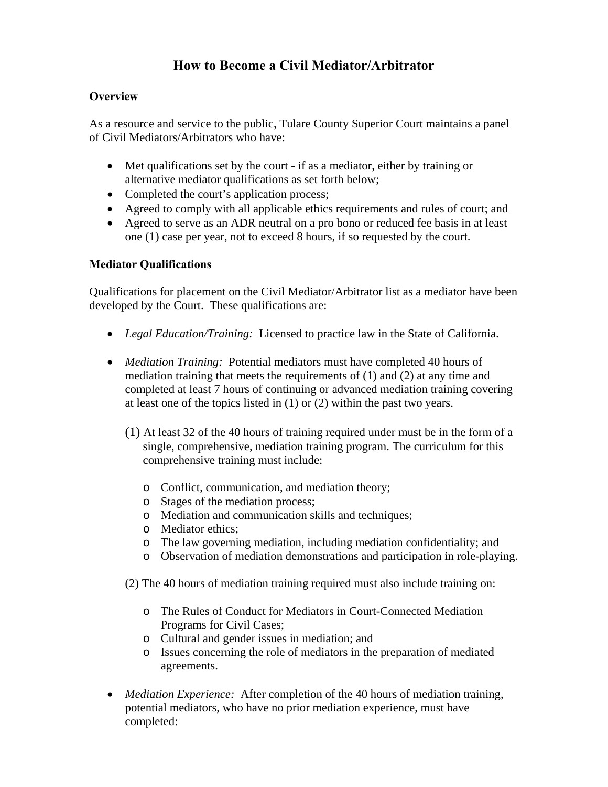### **How to Become a Civil Mediator/Arbitrator**

#### **Overview**

As a resource and service to the public, Tulare County Superior Court maintains a panel of Civil Mediators/Arbitrators who have:

- Met qualifications set by the court if as a mediator, either by training or alternative mediator qualifications as set forth below;
- Completed the court's application process;
- Agreed to comply with all applicable ethics requirements and rules of court; and
- Agreed to serve as an ADR neutral on a pro bono or reduced fee basis in at least one (1) case per year, not to exceed 8 hours, if so requested by the court.

#### **Mediator Qualifications**

Qualifications for placement on the Civil Mediator/Arbitrator list as a mediator have been developed by the Court. These qualifications are:

- *Legal Education/Training:* Licensed to practice law in the State of California.
- *Mediation Training:* Potential mediators must have completed 40 hours of mediation training that meets the requirements of (1) and (2) at any time and completed at least 7 hours of continuing or advanced mediation training covering at least one of the topics listed in (1) or (2) within the past two years.
	- (1) At least 32 of the 40 hours of training required under must be in the form of a single, comprehensive, mediation training program. The curriculum for this comprehensive training must include:
		- o Conflict, communication, and mediation theory;
		- o Stages of the mediation process;
		- o Mediation and communication skills and techniques;
		- o Mediator ethics;
		- o The law governing mediation, including mediation confidentiality; and
		- o Observation of mediation demonstrations and participation in role-playing.
	- (2) The 40 hours of mediation training required must also include training on:
		- o The Rules of Conduct for Mediators in Court-Connected Mediation Programs for Civil Cases;
		- o Cultural and gender issues in mediation; and
		- o Issues concerning the role of mediators in the preparation of mediated agreements.
- *Mediation Experience:* After completion of the 40 hours of mediation training, potential mediators, who have no prior mediation experience, must have completed: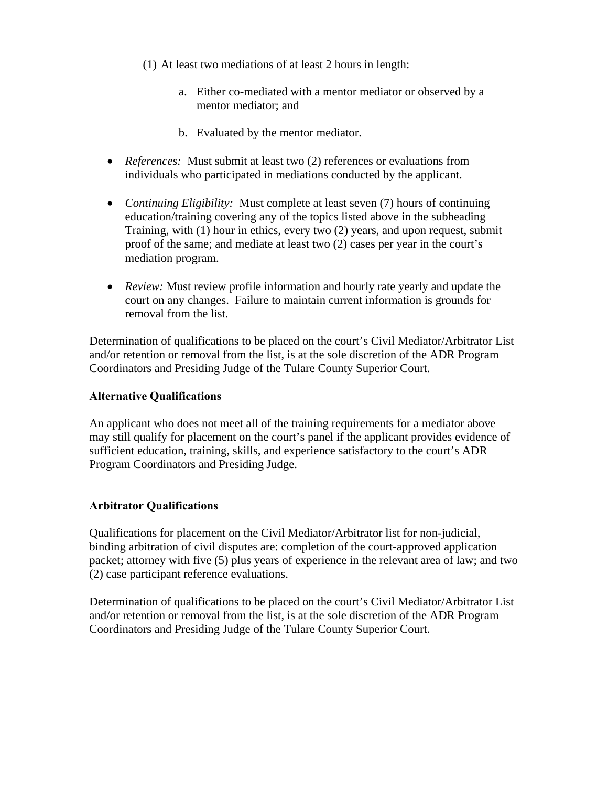- (1) At least two mediations of at least 2 hours in length:
	- a. Either co-mediated with a mentor mediator or observed by a mentor mediator; and
	- b. Evaluated by the mentor mediator.
- *References:* Must submit at least two (2) references or evaluations from individuals who participated in mediations conducted by the applicant.
- *Continuing Eligibility:* Must complete at least seven (7) hours of continuing education/training covering any of the topics listed above in the subheading Training, with (1) hour in ethics, every two (2) years, and upon request, submit proof of the same; and mediate at least two (2) cases per year in the court's mediation program.
- *Review:* Must review profile information and hourly rate yearly and update the court on any changes. Failure to maintain current information is grounds for removal from the list.

Determination of qualifications to be placed on the court's Civil Mediator/Arbitrator List and/or retention or removal from the list, is at the sole discretion of the ADR Program Coordinators and Presiding Judge of the Tulare County Superior Court.

#### **Alternative Qualifications**

An applicant who does not meet all of the training requirements for a mediator above may still qualify for placement on the court's panel if the applicant provides evidence of sufficient education, training, skills, and experience satisfactory to the court's ADR Program Coordinators and Presiding Judge.

#### **Arbitrator Qualifications**

Qualifications for placement on the Civil Mediator/Arbitrator list for non-judicial, binding arbitration of civil disputes are: completion of the court-approved application packet; attorney with five (5) plus years of experience in the relevant area of law; and two (2) case participant reference evaluations.

Determination of qualifications to be placed on the court's Civil Mediator/Arbitrator List and/or retention or removal from the list, is at the sole discretion of the ADR Program Coordinators and Presiding Judge of the Tulare County Superior Court.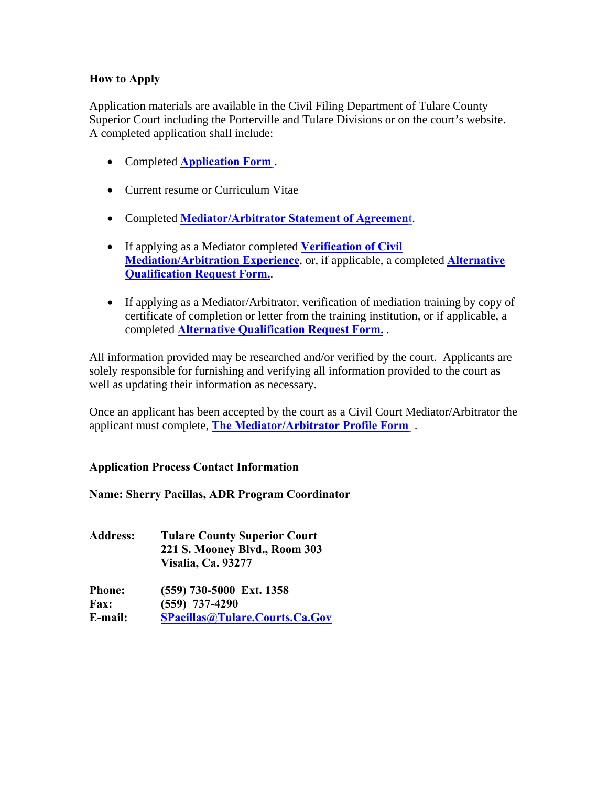#### **How to Apply**

Application materials are available in the Civil Filing Department of Tulare County Superior Court including the Porterville and Tulare Divisions or on the court's website. A completed application shall include:

- Completed **[Application Form](#page-3-0)** .
- Current resume or Curriculum Vitae
- Completed **[Mediator/Arbitrator Statement of Agreement](#page-6-0)**.
- If applying as a Mediator completed **[Verification of Civil](#page-8-0)  [Mediation/Arbitration Experience](#page-8-0)**, or, if applicable, a completed **[Alternative](#page-9-0)  [Qualification Request Form.](#page-9-0)**.
- If applying as a Mediator/Arbitrator, verification of mediation training by copy of certificate of completion or letter from the training institution, or if applicable, a completed **[Alternative Qualification Request Form.](#page-9-0)** .

All information provided may be researched and/or verified by the court. Applicants are solely responsible for furnishing and verifying all information provided to the court as well as updating their information as necessary.

Once an applicant has been accepted by the court as a Civil Court Mediator/Arbitrator the applicant must complete, **[The Mediator/Arbitrator Profile Form](#page-10-0)** .

**Application Process Contact Information** 

**Name: Sherry Pacillas, ADR Program Coordinator** 

**Address: Tulare County Superior Court 221 S. Mooney Blvd., Room 303 Visalia, Ca. 93277** 

**Phone: (559) 730-5000 Ext. 1358 Fax: (559) 737-4290 E-mail: [SPacillas@Tulare.Courts.Ca.Gov](mailto:SPacillas@Tulare.Courts.Ca.Gov)**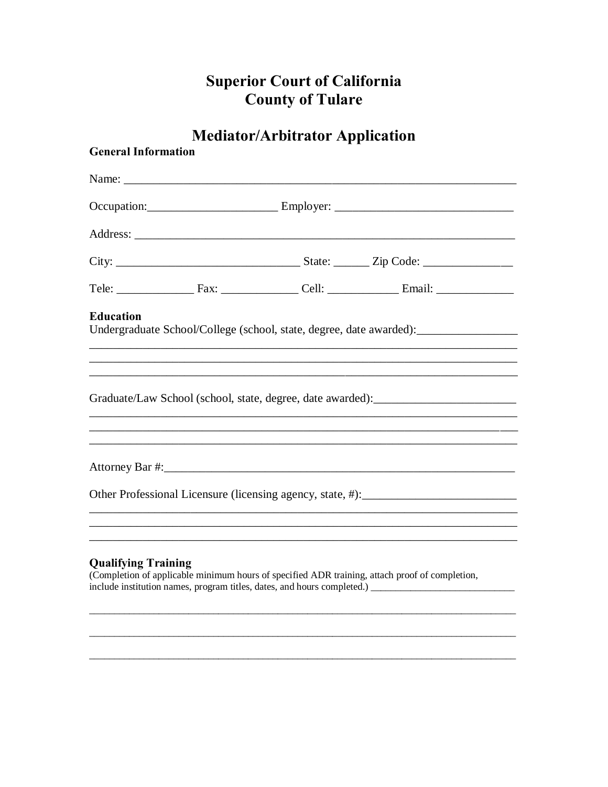## **Superior Court of California County of Tulare**

# **Mediator/Arbitrator Application**

<span id="page-3-0"></span>

| <b>General Information</b> |                                                                                                                                                                                                                                                                                           |  |  |  |
|----------------------------|-------------------------------------------------------------------------------------------------------------------------------------------------------------------------------------------------------------------------------------------------------------------------------------------|--|--|--|
|                            |                                                                                                                                                                                                                                                                                           |  |  |  |
|                            |                                                                                                                                                                                                                                                                                           |  |  |  |
|                            |                                                                                                                                                                                                                                                                                           |  |  |  |
|                            |                                                                                                                                                                                                                                                                                           |  |  |  |
|                            |                                                                                                                                                                                                                                                                                           |  |  |  |
| <b>Education</b>           | Undergraduate School/College (school, state, degree, date awarded): _____________<br>and the control of the control of the control of the control of the control of the control of the control of the<br>,我们也不能在这里的时候,我们也不能在这里的时候,我们也不能在这里的时候,我们也不能会在这里的时候,我们也不能会在这里的时候,我们也不能会在这里的时候,我们也不 |  |  |  |
|                            | Graduate/Law School (school, state, degree, date awarded): _____________________<br><u> 1989 - Johann Stoff, amerikansk politiker (d. 1989)</u>                                                                                                                                           |  |  |  |
|                            | <u> 1989 - Johann Stoff, amerikansk politiker (d. 1989)</u><br>,我们也不能在这里的人,我们也不能在这里的人,我们也不能在这里的人,我们也不能在这里的人,我们也不能在这里的人,我们也不能在这里的人,我们也不能在这里的人,我们也                                                                                                                                          |  |  |  |
|                            | Other Professional Licensure (licensing agency, state, #):                                                                                                                                                                                                                                |  |  |  |
| <b>Qualifying Training</b> | (Completion of applicable minimum hours of specified ADR training, attach proof of completion,                                                                                                                                                                                            |  |  |  |

(Completion of applicable minimum hours of specified ADR training, attach proof of completion, include institution names, program titles, dates, and hours completed.)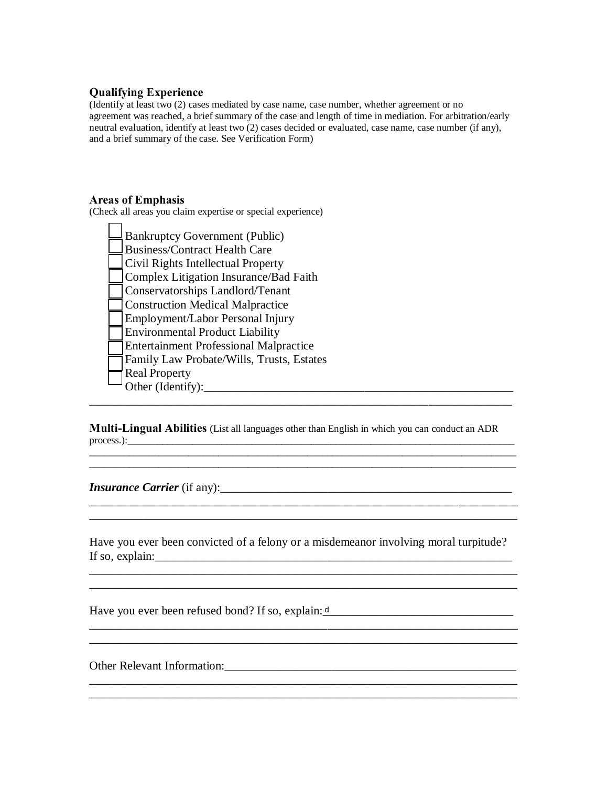#### **Qualifying Experience**

(Identify at least two (2) cases mediated by case name, case number, whether agreement or no agreement was reached, a brief summary of the case and length of time in mediation. For arbitration/early neutral evaluation, identify at least two (2) cases decided or evaluated, case name, case number (if any), and a brief summary of the case. See Verification Form)

#### **Areas of Emphasis**

(Check all areas you claim expertise or special experience)

| <b>Bankruptcy Government (Public)</b>         |
|-----------------------------------------------|
| <b>Business/Contract Health Care</b>          |
| Civil Rights Intellectual Property            |
| Complex Litigation Insurance/Bad Faith        |
| Conservatorships Landlord/Tenant              |
| <b>Construction Medical Malpractice</b>       |
| Employment/Labor Personal Injury              |
| <b>Environmental Product Liability</b>        |
| <b>Entertainment Professional Malpractice</b> |
| Family Law Probate/Wills, Trusts, Estates     |
| <b>Real Property</b>                          |
| Other (Identify):                             |
|                                               |

**Multi-Lingual Abilities** (List all languages other than English in which you can conduct an ADR process.):\_\_\_\_\_\_\_\_\_\_\_\_\_\_\_\_\_\_\_\_\_\_\_\_\_\_\_\_\_\_\_\_\_\_\_\_\_\_\_\_\_\_\_\_\_\_\_\_\_\_\_\_\_\_\_\_\_\_\_\_\_\_\_\_\_\_\_\_\_\_\_\_\_\_\_\_\_\_

\_\_\_\_\_\_\_\_\_\_\_\_\_\_\_\_\_\_\_\_\_\_\_\_\_\_\_\_\_\_\_\_\_\_\_\_\_\_\_\_\_\_\_\_\_\_\_\_\_\_\_\_\_\_\_\_\_\_\_\_\_\_\_\_\_\_\_\_\_\_\_\_\_\_\_\_\_\_\_\_\_\_\_\_\_\_

\_\_\_\_\_\_\_\_\_\_\_\_\_\_\_\_\_\_\_\_\_\_\_\_\_\_\_\_\_\_\_\_\_\_\_\_\_\_\_\_\_\_\_\_\_\_\_\_\_\_\_\_\_\_\_\_\_\_\_\_\_\_\_\_\_\_\_\_\_\_\_\_\_\_\_\_\_\_\_\_\_\_\_\_\_\_

*\_\_\_\_\_\_\_\_\_\_\_\_\_\_\_\_\_\_\_\_\_\_\_\_\_\_\_\_\_\_\_\_\_\_\_\_\_\_\_\_\_\_\_\_\_\_\_\_\_\_\_\_\_\_\_\_\_\_\_\_\_\_\_\_\_\_\_\_\_\_\_\_ \_\_\_\_\_\_\_\_\_\_\_\_\_\_\_\_\_\_\_\_\_\_\_\_\_\_\_\_\_\_\_\_\_\_\_\_\_\_\_\_\_\_\_\_\_\_\_\_\_\_\_\_\_\_\_\_\_\_\_\_\_\_\_\_\_\_\_\_\_\_\_\_*

*Insurance Carrier* (if any):\_\_\_\_\_\_\_\_\_\_\_\_\_\_\_\_\_\_\_\_\_\_\_\_\_\_\_\_\_\_\_\_\_\_\_\_\_\_\_\_\_\_\_\_\_\_\_\_\_

Have you ever been convicted of a felony or a misdemeanor involving moral turpitude? If so, explain:  $\frac{1}{2}$  explain:

\_\_\_\_\_\_\_\_\_\_\_\_\_\_\_\_\_\_\_\_\_\_\_\_\_\_\_\_\_\_\_\_\_\_\_\_\_\_\_\_\_\_\_\_\_\_\_\_\_\_\_\_\_\_\_\_\_\_\_\_\_\_\_\_\_\_\_\_\_\_\_\_

\_\_\_\_\_\_\_\_\_\_\_\_\_\_\_\_\_\_\_\_\_\_\_\_\_\_\_\_\_\_\_\_\_\_\_\_\_\_\_\_\_\_\_\_\_\_\_\_\_\_\_\_\_\_\_\_\_\_\_\_\_\_\_\_\_\_\_\_\_\_\_\_

 $\_$  ,  $\_$  ,  $\_$  ,  $\_$  ,  $\_$  ,  $\_$  ,  $\_$  ,  $\_$  ,  $\_$  ,  $\_$  ,  $\_$  ,  $\_$  ,  $\_$  ,  $\_$ 

Have you ever been refused bond? If so, explain: <u>d\_\_\_\_\_\_\_\_\_\_\_\_\_\_\_\_\_\_\_\_\_\_\_\_\_\_\_\_\_\_\_\_\_\_</u>

Other Relevant Information: example of the set of the set of the set of the set of the set of the set of the set of the set of the set of the set of the set of the set of the set of the set of the set of the set of the set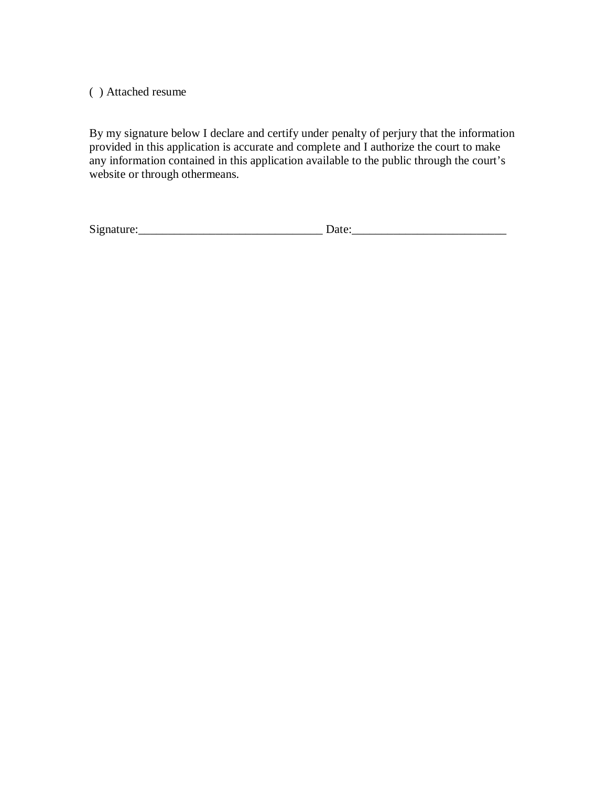( ) Attached resume

By my signature below I declare and certify under penalty of perjury that the information provided in this application is accurate and complete and I authorize the court to make any information contained in this application available to the public through the court's website or through othermeans.

| $\sim$<br>S12<br>--- | --- |
|----------------------|-----|
|                      |     |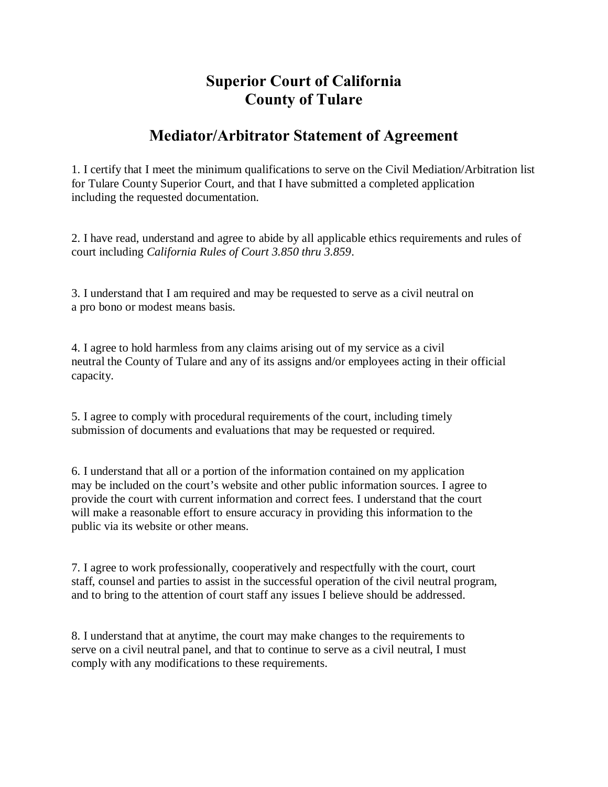## **Superior Court of California County of Tulare**

### **Mediator/Arbitrator Statement of Agreement**

<span id="page-6-0"></span>1. I certify that I meet the minimum qualifications to serve on the Civil Mediation/Arbitration list for Tulare County Superior Court, and that I have submitted a completed application including the requested documentation.

2. I have read, understand and agree to abide by all applicable ethics requirements and rules of court including *California Rules of Court 3.850 thru 3.859*.

3. I understand that I am required and may be requested to serve as a civil neutral on a pro bono or modest means basis.

4. I agree to hold harmless from any claims arising out of my service as a civil neutral the County of Tulare and any of its assigns and/or employees acting in their official capacity.

5. I agree to comply with procedural requirements of the court, including timely submission of documents and evaluations that may be requested or required.

6. I understand that all or a portion of the information contained on my application may be included on the court's website and other public information sources. I agree to provide the court with current information and correct fees. I understand that the court will make a reasonable effort to ensure accuracy in providing this information to the public via its website or other means.

7. I agree to work professionally, cooperatively and respectfully with the court, court staff, counsel and parties to assist in the successful operation of the civil neutral program, and to bring to the attention of court staff any issues I believe should be addressed.

8. I understand that at anytime, the court may make changes to the requirements to serve on a civil neutral panel, and that to continue to serve as a civil neutral, I must comply with any modifications to these requirements.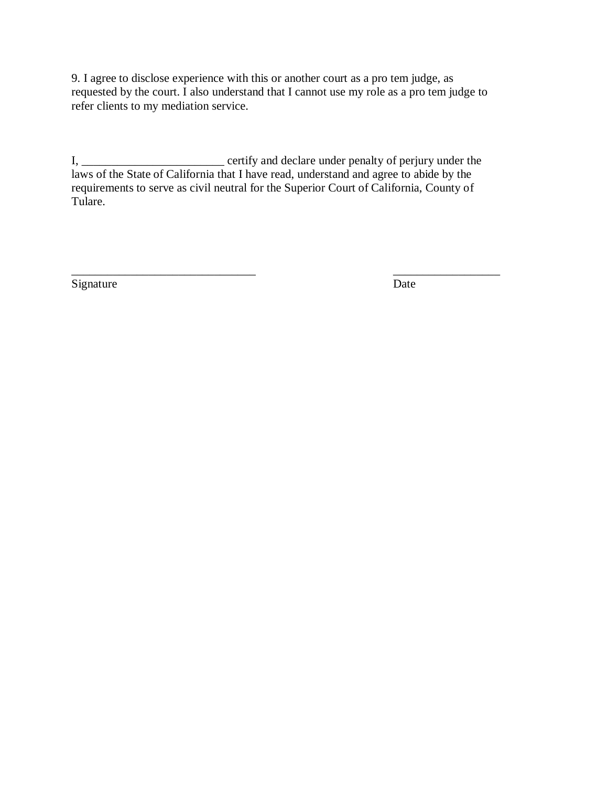9. I agree to disclose experience with this or another court as a pro tem judge, as requested by the court. I also understand that I cannot use my role as a pro tem judge to refer clients to my mediation service.

I, \_\_\_\_\_\_\_\_\_\_\_\_\_\_\_\_\_\_\_\_\_\_\_\_\_\_\_\_\_\_\_ certify and declare under penalty of perjury under the laws of the State of California that I have read, understand and agree to abide by the requirements to serve as civil neutral for the Superior Court of California, County of Tulare.

\_\_\_\_\_\_\_\_\_\_\_\_\_\_\_\_\_\_\_\_\_\_\_\_\_\_\_\_\_\_\_ \_\_\_\_\_\_\_\_\_\_\_\_\_\_\_\_\_\_ Signature Date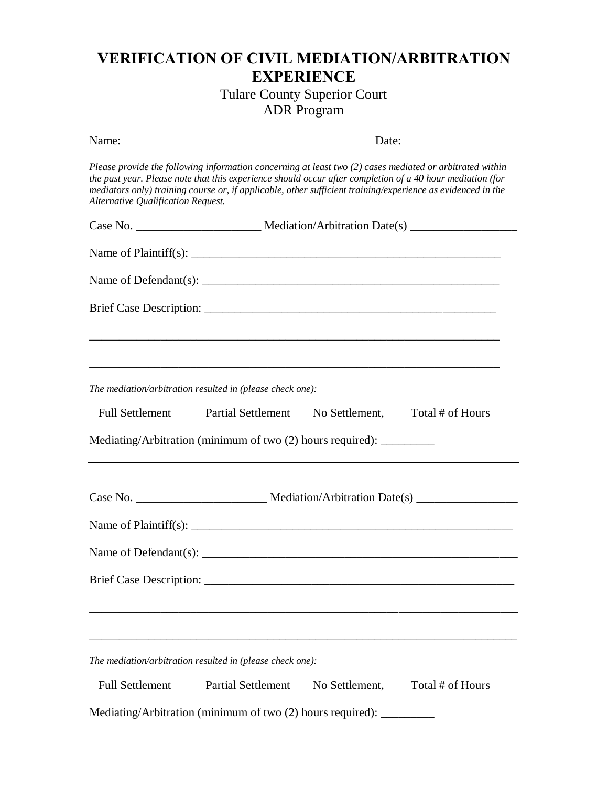## <span id="page-8-0"></span>**VERIFICATION OF CIVIL MEDIATION/ARBITRATION EXPERIENCE**

Tulare County Superior Court ADR Program

| Name:                                                     | Date:                                                                                                                                                                                                                                                                                                                                                                                              |
|-----------------------------------------------------------|----------------------------------------------------------------------------------------------------------------------------------------------------------------------------------------------------------------------------------------------------------------------------------------------------------------------------------------------------------------------------------------------------|
| Alternative Qualification Request.                        | Please provide the following information concerning at least two (2) cases mediated or arbitrated within<br>the past year. Please note that this experience should occur after completion of a 40 hour mediation (for<br>mediators only) training course or, if applicable, other sufficient training/experience as evidenced in the                                                               |
|                                                           |                                                                                                                                                                                                                                                                                                                                                                                                    |
|                                                           | Name of Plaintiff(s): $\frac{1}{\sqrt{1-\frac{1}{2}}\sqrt{1-\frac{1}{2}}\sqrt{1-\frac{1}{2}}\sqrt{1-\frac{1}{2}}\sqrt{1-\frac{1}{2}}\sqrt{1-\frac{1}{2}}\sqrt{1-\frac{1}{2}}\sqrt{1-\frac{1}{2}}\sqrt{1-\frac{1}{2}}\sqrt{1-\frac{1}{2}}\sqrt{1-\frac{1}{2}}\sqrt{1-\frac{1}{2}}\sqrt{1-\frac{1}{2}}\sqrt{1-\frac{1}{2}}\sqrt{1-\frac{1}{2}}\sqrt{1-\frac{1}{2}}\sqrt{1-\frac{1}{2}}\sqrt{1-\frac$ |
|                                                           | Name of Defendant(s): $\frac{1}{2}$ Manuscripture of Defendant(s):                                                                                                                                                                                                                                                                                                                                 |
|                                                           |                                                                                                                                                                                                                                                                                                                                                                                                    |
|                                                           |                                                                                                                                                                                                                                                                                                                                                                                                    |
|                                                           | ,我们也不能在这里的时候,我们也不能在这里的时候,我们也不能会在这里的时候,我们也不能会在这里的时候,我们也不能会在这里的时候,我们也不能会在这里的时候,我们也                                                                                                                                                                                                                                                                                                                   |
| The mediation/arbitration resulted in (please check one): |                                                                                                                                                                                                                                                                                                                                                                                                    |
| <b>Full Settlement</b><br><b>Partial Settlement</b>       | No Settlement,<br>Total # of Hours                                                                                                                                                                                                                                                                                                                                                                 |
|                                                           |                                                                                                                                                                                                                                                                                                                                                                                                    |
|                                                           |                                                                                                                                                                                                                                                                                                                                                                                                    |
|                                                           | Name of Plaintiff(s): $\frac{1}{2}$ Manuscription of Plaintiff(s):                                                                                                                                                                                                                                                                                                                                 |
|                                                           |                                                                                                                                                                                                                                                                                                                                                                                                    |
| <b>Brief Case Description:</b>                            |                                                                                                                                                                                                                                                                                                                                                                                                    |
|                                                           |                                                                                                                                                                                                                                                                                                                                                                                                    |
|                                                           |                                                                                                                                                                                                                                                                                                                                                                                                    |
| The mediation/arbitration resulted in (please check one): |                                                                                                                                                                                                                                                                                                                                                                                                    |
| <b>Full Settlement</b><br><b>Partial Settlement</b>       | Total # of Hours<br>No Settlement,                                                                                                                                                                                                                                                                                                                                                                 |
|                                                           | Mediating/Arbitration (minimum of two (2) hours required): _________                                                                                                                                                                                                                                                                                                                               |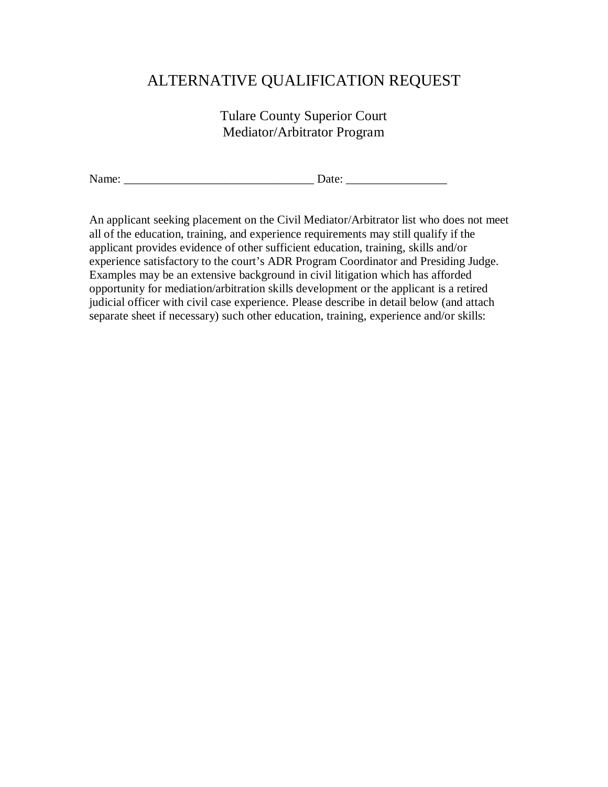## <span id="page-9-0"></span>ALTERNATIVE QUALIFICATION REQUEST

Tulare County Superior Court Mediator/Arbitrator Program

Name: \_\_\_\_\_\_\_\_\_\_\_\_\_\_\_\_\_\_\_\_\_\_\_\_\_\_\_\_\_\_\_\_ Date: \_\_\_\_\_\_\_\_\_\_\_\_\_\_\_\_\_

An applicant seeking placement on the Civil Mediator/Arbitrator list who does not meet all of the education, training, and experience requirements may still qualify if the applicant provides evidence of other sufficient education, training, skills and/or experience satisfactory to the court's ADR Program Coordinator and Presiding Judge. Examples may be an extensive background in civil litigation which has afforded opportunity for mediation/arbitration skills development or the applicant is a retired judicial officer with civil case experience. Please describe in detail below (and attach separate sheet if necessary) such other education, training, experience and/or skills: